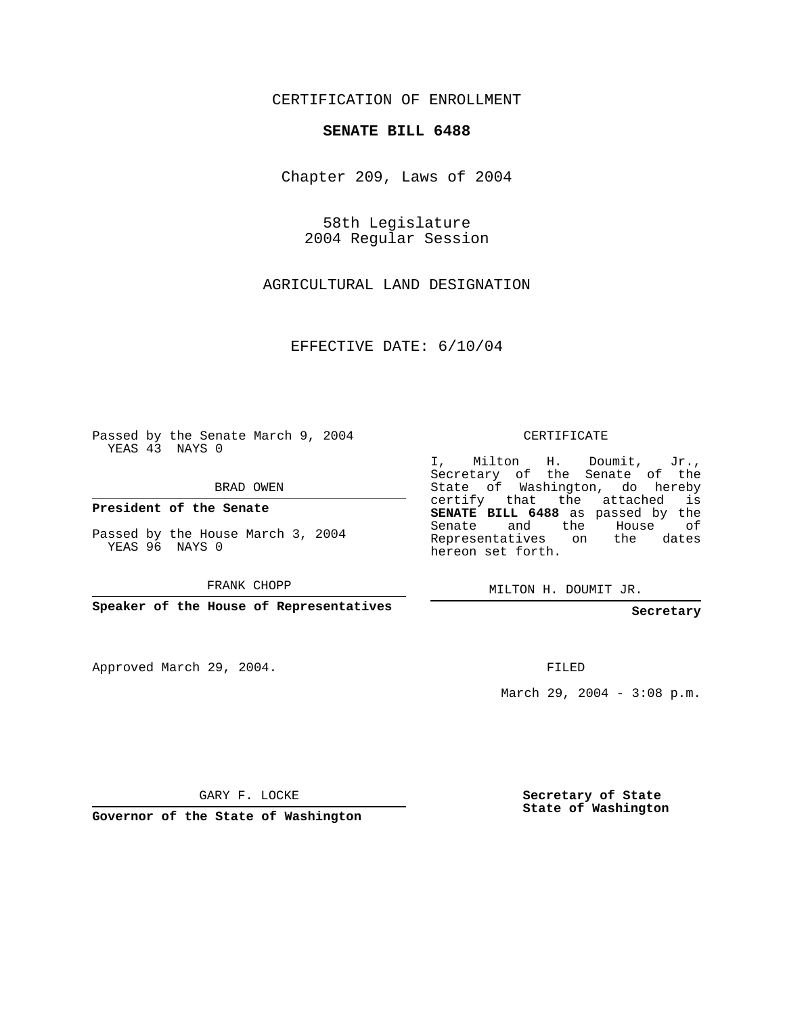### CERTIFICATION OF ENROLLMENT

#### **SENATE BILL 6488**

Chapter 209, Laws of 2004

58th Legislature 2004 Regular Session

AGRICULTURAL LAND DESIGNATION

EFFECTIVE DATE: 6/10/04

Passed by the Senate March 9, 2004 YEAS 43 NAYS 0

BRAD OWEN

**President of the Senate**

Passed by the House March 3, 2004 YEAS 96 NAYS 0

FRANK CHOPP

**Speaker of the House of Representatives**

Approved March 29, 2004.

CERTIFICATE

I, Milton H. Doumit, Jr., Secretary of the Senate of the State of Washington, do hereby certify that the attached is **SENATE BILL 6488** as passed by the Senate and the House of Representatives on the dates hereon set forth.

MILTON H. DOUMIT JR.

**Secretary**

FILED

March 29, 2004 - 3:08 p.m.

GARY F. LOCKE

**Governor of the State of Washington**

**Secretary of State State of Washington**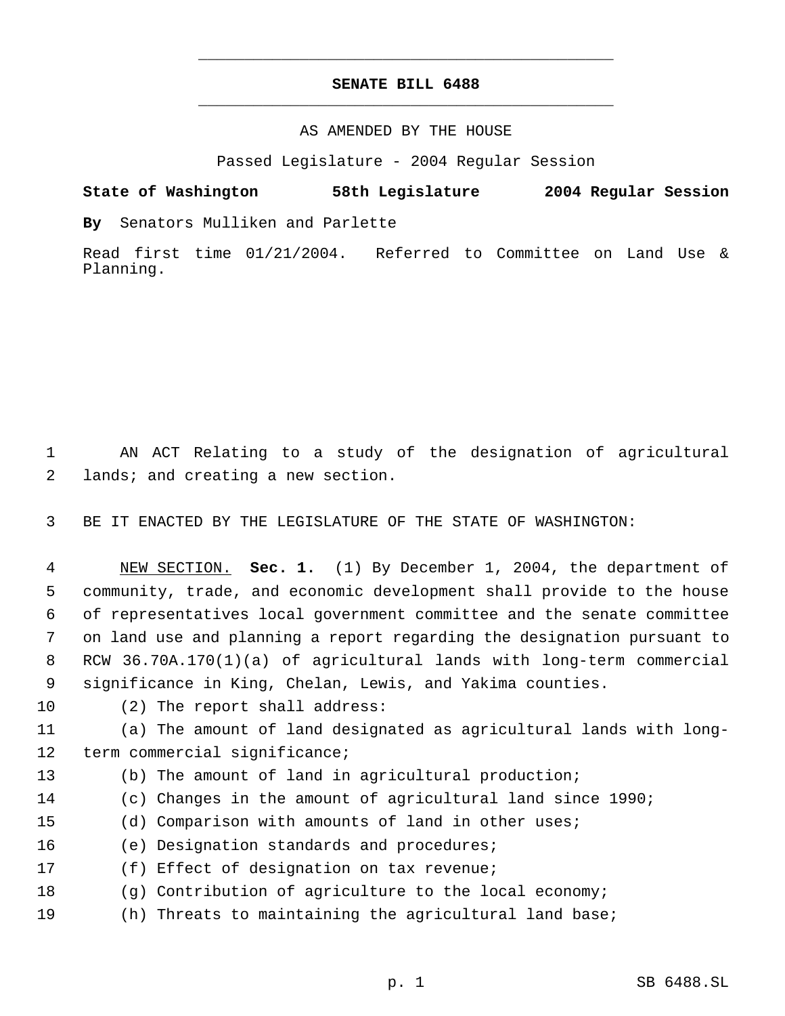## **SENATE BILL 6488** \_\_\_\_\_\_\_\_\_\_\_\_\_\_\_\_\_\_\_\_\_\_\_\_\_\_\_\_\_\_\_\_\_\_\_\_\_\_\_\_\_\_\_\_\_

\_\_\_\_\_\_\_\_\_\_\_\_\_\_\_\_\_\_\_\_\_\_\_\_\_\_\_\_\_\_\_\_\_\_\_\_\_\_\_\_\_\_\_\_\_

#### AS AMENDED BY THE HOUSE

Passed Legislature - 2004 Regular Session

# **State of Washington 58th Legislature 2004 Regular Session**

**By** Senators Mulliken and Parlette

Read first time 01/21/2004. Referred to Committee on Land Use & Planning.

 AN ACT Relating to a study of the designation of agricultural lands; and creating a new section.

BE IT ENACTED BY THE LEGISLATURE OF THE STATE OF WASHINGTON:

 NEW SECTION. **Sec. 1.** (1) By December 1, 2004, the department of community, trade, and economic development shall provide to the house of representatives local government committee and the senate committee on land use and planning a report regarding the designation pursuant to RCW 36.70A.170(1)(a) of agricultural lands with long-term commercial significance in King, Chelan, Lewis, and Yakima counties.

(2) The report shall address:

 (a) The amount of land designated as agricultural lands with long-term commercial significance;

(b) The amount of land in agricultural production;

- (c) Changes in the amount of agricultural land since 1990;
- (d) Comparison with amounts of land in other uses;
- (e) Designation standards and procedures;
- (f) Effect of designation on tax revenue;
- (g) Contribution of agriculture to the local economy;
- (h) Threats to maintaining the agricultural land base;